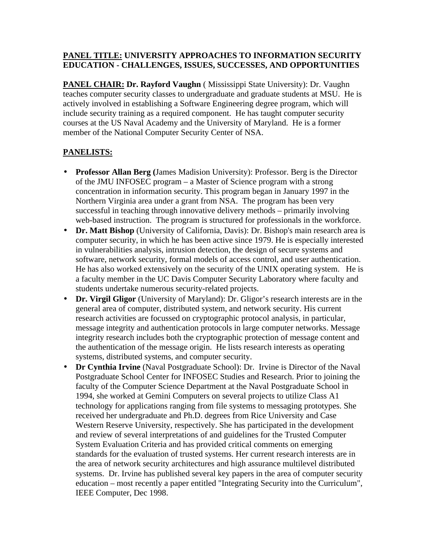### **PANEL TITLE: UNIVERSITY APPROACHES TO INFORMATION SECURITY EDUCATION - CHALLENGES, ISSUES, SUCCESSES, AND OPPORTUNITIES**

**PANEL CHAIR: Dr. Rayford Vaughn** ( Mississippi State University): Dr. Vaughn teaches computer security classes to undergraduate and graduate students at MSU. He is actively involved in establishing a Software Engineering degree program, which will include security training as a required component. He has taught computer security courses at the US Naval Academy and the University of Maryland. He is a former member of the National Computer Security Center of NSA.

# **PANELISTS:**

- **Professor Allan Berg (**James Madision University): Professor. Berg is the Director of the JMU INFOSEC program – a Master of Science program with a strong concentration in information security. This program began in January 1997 in the Northern Virginia area under a grant from NSA. The program has been very successful in teaching through innovative delivery methods – primarily involving web-based instruction. The program is structured for professionals in the workforce.
- **Dr. Matt Bishop** (University of California, Davis): Dr. Bishop's main research area is computer security, in which he has been active since 1979. He is especially interested in vulnerabilities analysis, intrusion detection, the design of secure systems and software, network security, formal models of access control, and user authentication. He has also worked extensively on the security of the UNIX operating system. He is a faculty member in the UC Davis Computer Security Laboratory where faculty and students undertake numerous security-related projects.
- **Dr. Virgil Gligor** (University of Maryland): Dr. Gligor's research interests are in the general area of computer, distributed system, and network security. His current research activities are focussed on cryptographic protocol analysis, in particular, message integrity and authentication protocols in large computer networks. Message integrity research includes both the cryptographic protection of message content and the authentication of the message origin. He lists research interests as operating systems, distributed systems, and computer security.
- **Dr Cynthia Irvine** (Naval Postgraduate School): Dr. Irvine is Director of the Naval Postgraduate School Center for INFOSEC Studies and Research. Prior to joining the faculty of the Computer Science Department at the Naval Postgraduate School in 1994, she worked at Gemini Computers on several projects to utilize Class A1 technology for applications ranging from file systems to messaging prototypes. She received her undergraduate and Ph.D. degrees from Rice University and Case Western Reserve University, respectively. She has participated in the development and review of several interpretations of and guidelines for the Trusted Computer System Evaluation Criteria and has provided critical comments on emerging standards for the evaluation of trusted systems. Her current research interests are in the area of network security architectures and high assurance multilevel distributed systems. Dr. Irvine has published several key papers in the area of computer security education – most recently a paper entitled "Integrating Security into the Curriculum", IEEE Computer, Dec 1998.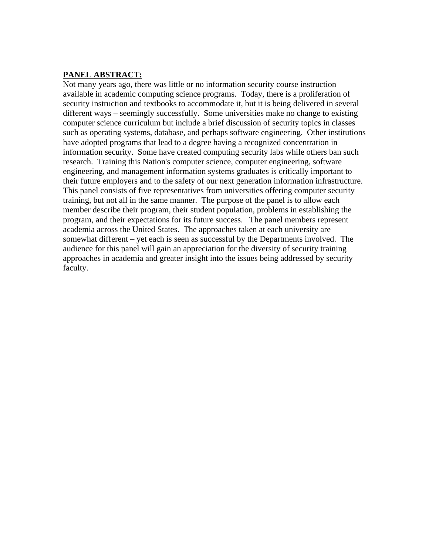### **PANEL ABSTRACT:**

Not many years ago, there was little or no information security course instruction available in academic computing science programs. Today, there is a proliferation of security instruction and textbooks to accommodate it, but it is being delivered in several different ways – seemingly successfully. Some universities make no change to existing computer science curriculum but include a brief discussion of security topics in classes such as operating systems, database, and perhaps software engineering. Other institutions have adopted programs that lead to a degree having a recognized concentration in information security. Some have created computing security labs while others ban such research. Training this Nation's computer science, computer engineering, software engineering, and management information systems graduates is critically important to their future employers and to the safety of our next generation information infrastructure. This panel consists of five representatives from universities offering computer security training, but not all in the same manner. The purpose of the panel is to allow each member describe their program, their student population, problems in establishing the program, and their expectations for its future success. The panel members represent academia across the United States. The approaches taken at each university are somewhat different – yet each is seen as successful by the Departments involved. The audience for this panel will gain an appreciation for the diversity of security training approaches in academia and greater insight into the issues being addressed by security faculty.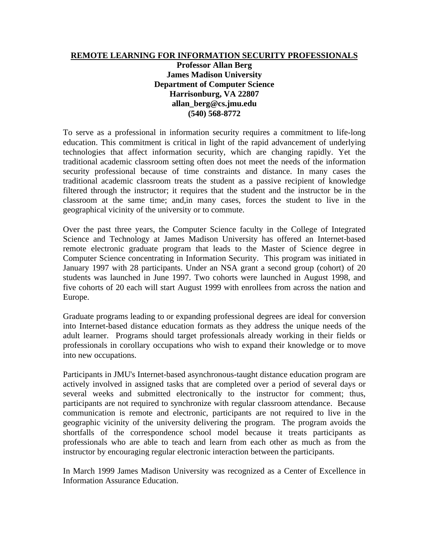#### **REMOTE LEARNING FOR INFORMATION SECURITY PROFESSIONALS**

**Professor Allan Berg James Madison University Department of Computer Science Harrisonburg, VA 22807 allan\_berg@cs.jmu.edu (540) 568-8772**

To serve as a professional in information security requires a commitment to life-long education. This commitment is critical in light of the rapid advancement of underlying technologies that affect information security, which are changing rapidly. Yet the traditional academic classroom setting often does not meet the needs of the information security professional because of time constraints and distance. In many cases the traditional academic classroom treats the student as a passive recipient of knowledge filtered through the instructor; it requires that the student and the instructor be in the classroom at the same time; and,in many cases, forces the student to live in the geographical vicinity of the university or to commute.

Over the past three years, the Computer Science faculty in the College of Integrated Science and Technology at James Madison University has offered an Internet-based remote electronic graduate program that leads to the Master of Science degree in Computer Science concentrating in Information Security. This program was initiated in January 1997 with 28 participants. Under an NSA grant a second group (cohort) of 20 students was launched in June 1997. Two cohorts were launched in August 1998, and five cohorts of 20 each will start August 1999 with enrollees from across the nation and Europe.

Graduate programs leading to or expanding professional degrees are ideal for conversion into Internet-based distance education formats as they address the unique needs of the adult learner. Programs should target professionals already working in their fields or professionals in corollary occupations who wish to expand their knowledge or to move into new occupations.

Participants in JMU's Internet-based asynchronous-taught distance education program are actively involved in assigned tasks that are completed over a period of several days or several weeks and submitted electronically to the instructor for comment; thus, participants are not required to synchronize with regular classroom attendance. Because communication is remote and electronic, participants are not required to live in the geographic vicinity of the university delivering the program. The program avoids the shortfalls of the correspondence school model because it treats participants as professionals who are able to teach and learn from each other as much as from the instructor by encouraging regular electronic interaction between the participants.

In March 1999 James Madison University was recognized as a Center of Excellence in Information Assurance Education.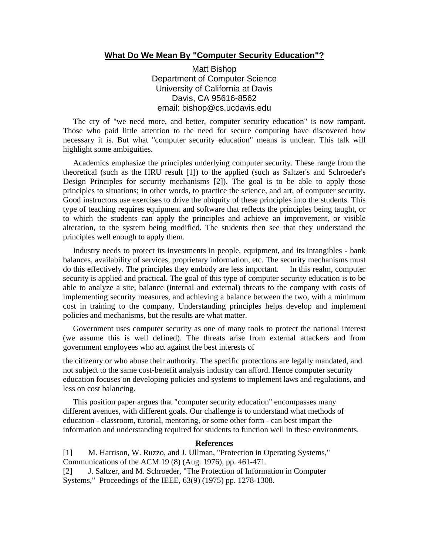#### **What Do We Mean By "Computer Security Education"?**

Matt Bishop Department of Computer Science University of California at Davis Davis, CA 95616-8562 email: bishop@cs.ucdavis.edu

 The cry of "we need more, and better, computer security education" is now rampant. Those who paid little attention to the need for secure computing have discovered how necessary it is. But what "computer security education" means is unclear. This talk will highlight some ambiguities.

 Academics emphasize the principles underlying computer security. These range from the theoretical (such as the HRU result [1]) to the applied (such as Saltzer's and Schroeder's Design Principles for security mechanisms [2]). The goal is to be able to apply those principles to situations; in other words, to practice the science, and art, of computer security. Good instructors use exercises to drive the ubiquity of these principles into the students. This type of teaching requires equipment and software that reflects the principles being taught, or to which the students can apply the principles and achieve an improvement, or visible alteration, to the system being modified. The students then see that they understand the principles well enough to apply them.

 Industry needs to protect its investments in people, equipment, and its intangibles - bank balances, availability of services, proprietary information, etc. The security mechanisms must do this effectively. The principles they embody are less important. In this realm, computer security is applied and practical. The goal of this type of computer security education is to be able to analyze a site, balance (internal and external) threats to the company with costs of implementing security measures, and achieving a balance between the two, with a minimum cost in training to the company. Understanding principles helps develop and implement policies and mechanisms, but the results are what matter.

 Government uses computer security as one of many tools to protect the national interest (we assume this is well defined). The threats arise from external attackers and from government employees who act against the best interests of

the citizenry or who abuse their authority. The specific protections are legally mandated, and not subject to the same cost-benefit analysis industry can afford. Hence computer security education focuses on developing policies and systems to implement laws and regulations, and less on cost balancing.

 This position paper argues that "computer security education" encompasses many different avenues, with different goals. Our challenge is to understand what methods of education - classroom, tutorial, mentoring, or some other form - can best impart the information and understanding required for students to function well in these environments.

#### **References**

[1] M. Harrison, W. Ruzzo, and J. Ullman, "Protection in Operating Systems," Communications of the ACM 19 (8) (Aug. 1976), pp. 461-471. [2] J. Saltzer, and M. Schroeder, "The Protection of Information in Computer

Systems," Proceedings of the IEEE, 63(9) (1975) pp. 1278-1308.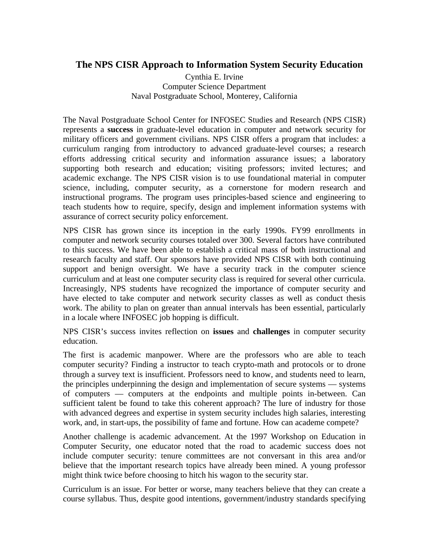## **The NPS CISR Approach to Information System Security Education**

Cynthia E. Irvine Computer Science Department Naval Postgraduate School, Monterey, California

The Naval Postgraduate School Center for INFOSEC Studies and Research (NPS CISR) represents a **success** in graduate-level education in computer and network security for military officers and government civilians. NPS CISR offers a program that includes: a curriculum ranging from introductory to advanced graduate-level courses; a research efforts addressing critical security and information assurance issues; a laboratory supporting both research and education; visiting professors; invited lectures; and academic exchange. The NPS CISR vision is to use foundational material in computer science, including, computer security, as a cornerstone for modern research and instructional programs. The program uses principles-based science and engineering to teach students how to require, specify, design and implement information systems with assurance of correct security policy enforcement.

NPS CISR has grown since its inception in the early 1990s. FY99 enrollments in computer and network security courses totaled over 300. Several factors have contributed to this success. We have been able to establish a critical mass of both instructional and research faculty and staff. Our sponsors have provided NPS CISR with both continuing support and benign oversight. We have a security track in the computer science curriculum and at least one computer security class is required for several other curricula. Increasingly, NPS students have recognized the importance of computer security and have elected to take computer and network security classes as well as conduct thesis work. The ability to plan on greater than annual intervals has been essential, particularly in a locale where INFOSEC job hopping is difficult.

NPS CISR's success invites reflection on **issues** and **challenges** in computer security education.

The first is academic manpower. Where are the professors who are able to teach computer security? Finding a instructor to teach crypto-math and protocols or to drone through a survey text is insufficient. Professors need to know, and students need to learn, the principles underpinning the design and implementation of secure systems — systems of computers — computers at the endpoints and multiple points in-between. Can sufficient talent be found to take this coherent approach? The lure of industry for those with advanced degrees and expertise in system security includes high salaries, interesting work, and, in start-ups, the possibility of fame and fortune. How can academe compete?

Another challenge is academic advancement. At the 1997 Workshop on Education in Computer Security, one educator noted that the road to academic success does not include computer security: tenure committees are not conversant in this area and/or believe that the important research topics have already been mined. A young professor might think twice before choosing to hitch his wagon to the security star.

Curriculum is an issue. For better or worse, many teachers believe that they can create a course syllabus. Thus, despite good intentions, government/industry standards specifying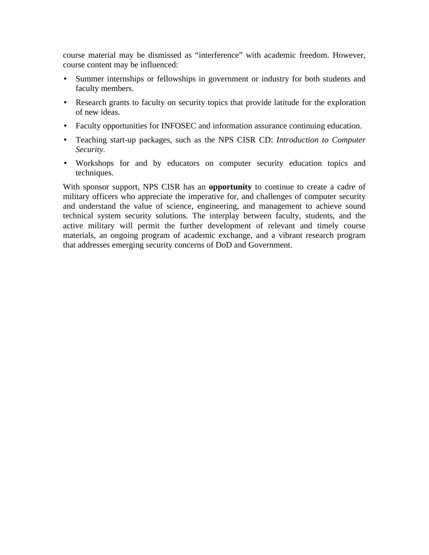course material may be dismissed as "interference" with academic freedom. However, course content may be influenced:

- Summer internships or fellowships in government or industry for both students and faculty members.
- Research grants to faculty on security topics that provide latitude for the exploration of new ideas.
- Faculty opportunities for INFOSEC and information assurance continuing education.
- Teaching start-up packages, such as the NPS CISR CD: *Introduction to Computer Security*.
- Workshops for and by educators on computer security education topics and techniques.

With sponsor support, NPS CISR has an **opportunity** to continue to create a cadre of military officers who appreciate the imperative for, and challenges of computer security and understand the value of science, engineering, and management to achieve sound technical system security solutions. The interplay between faculty, students, and the active military will permit the further development of relevant and timely course materials, an ongoing program of academic exchange, and a vibrant research program that addresses emerging security concerns of DoD and Government.